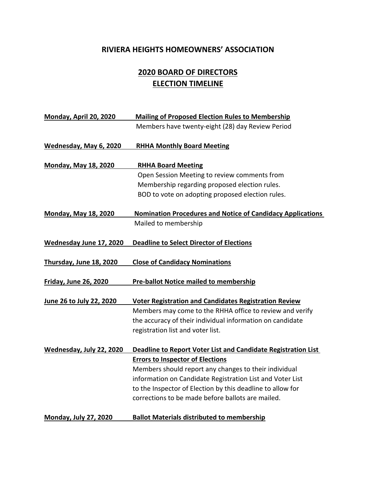## **RIVIERA HEIGHTS HOMEOWNERS' ASSOCIATION**

## **2020 BOARD OF DIRECTORS ELECTION TIMELINE**

| Monday, April 20, 2020       | <b>Mailing of Proposed Election Rules to Membership</b>           |
|------------------------------|-------------------------------------------------------------------|
|                              | Members have twenty-eight (28) day Review Period                  |
| Wednesday, May 6, 2020       | <b>RHHA Monthly Board Meeting</b>                                 |
| <b>Monday, May 18, 2020</b>  | <b>RHHA Board Meeting</b>                                         |
|                              | Open Session Meeting to review comments from                      |
|                              | Membership regarding proposed election rules.                     |
|                              | BOD to vote on adopting proposed election rules.                  |
| <b>Monday, May 18, 2020</b>  | <b>Nomination Procedures and Notice of Candidacy Applications</b> |
|                              | Mailed to membership                                              |
| Wednesday June 17, 2020      | <b>Deadline to Select Director of Elections</b>                   |
| Thursday, June 18, 2020      | <b>Close of Candidacy Nominations</b>                             |
| <b>Friday, June 26, 2020</b> | <b>Pre-ballot Notice mailed to membership</b>                     |
| June 26 to July 22, 2020     | <b>Voter Registration and Candidates Registration Review</b>      |
|                              | Members may come to the RHHA office to review and verify          |
|                              | the accuracy of their individual information on candidate         |
|                              | registration list and voter list.                                 |
| Wednesday, July 22, 2020     | Deadline to Report Voter List and Candidate Registration List     |
|                              | <b>Errors to Inspector of Elections</b>                           |
|                              | Members should report any changes to their individual             |
|                              | information on Candidate Registration List and Voter List         |
|                              | to the Inspector of Election by this deadline to allow for        |
|                              | corrections to be made before ballots are mailed.                 |
| <b>Monday, July 27, 2020</b> | <b>Ballot Materials distributed to membership</b>                 |